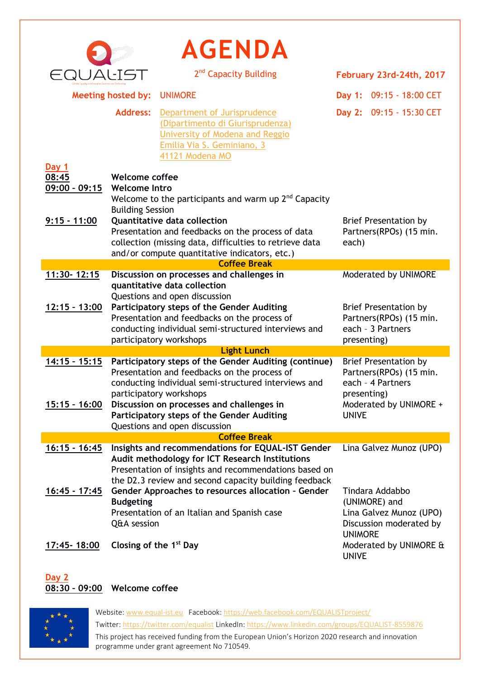|                                   |                                                                                                         | <b>AGENDA</b>                                                                                                                                                                                                          |                                 |                                                                              |  |  |
|-----------------------------------|---------------------------------------------------------------------------------------------------------|------------------------------------------------------------------------------------------------------------------------------------------------------------------------------------------------------------------------|---------------------------------|------------------------------------------------------------------------------|--|--|
|                                   |                                                                                                         | 2 <sup>nd</sup> Capacity Building                                                                                                                                                                                      |                                 | February 23rd-24th, 2017                                                     |  |  |
| <b>Meeting hosted by:</b>         |                                                                                                         | <b>UNIMORE</b>                                                                                                                                                                                                         |                                 | Day 1: 09:15 - 18:00 CET                                                     |  |  |
|                                   | <b>Address:</b>                                                                                         | Department of Jurisprudence<br>(Dipartimento di Giurisprudenza)<br>University of Modena and Reggio<br>Emilia Via S. Geminiano, 3<br>41121 Modena MO                                                                    |                                 | Day 2: 09:15 - 15:30 CET                                                     |  |  |
| Day 1<br>08:45<br>$09:00 - 09:15$ | <b>Welcome coffee</b><br><b>Welcome Intro</b><br>Welcome to the participants and warm up $2nd$ Capacity |                                                                                                                                                                                                                        |                                 |                                                                              |  |  |
| $9:15 - 11:00$                    | <b>Building Session</b>                                                                                 | Quantitative data collection<br>Presentation and feedbacks on the process of data<br>collection (missing data, difficulties to retrieve data<br>and/or compute quantitative indicators, etc.)                          | each)                           | <b>Brief Presentation by</b><br>Partners(RPOs) (15 min.                      |  |  |
|                                   |                                                                                                         | <b>Coffee Break</b>                                                                                                                                                                                                    |                                 |                                                                              |  |  |
| 11:30-12:15                       |                                                                                                         | Discussion on processes and challenges in<br>quantitative data collection<br>Questions and open discussion                                                                                                             |                                 | Moderated by UNIMORE                                                         |  |  |
| $12:15 - 13:00$                   |                                                                                                         | Participatory steps of the Gender Auditing<br>Presentation and feedbacks on the process of<br>conducting individual semi-structured interviews and<br>participatory workshops                                          | presenting)                     | <b>Brief Presentation by</b><br>Partners(RPOs) (15 min.<br>each - 3 Partners |  |  |
| <b>Light Lunch</b>                |                                                                                                         |                                                                                                                                                                                                                        |                                 |                                                                              |  |  |
| $14:15 - 15:15$                   |                                                                                                         | Participatory steps of the Gender Auditing (continue)<br>Presentation and feedbacks on the process of<br>conducting individual semi-structured interviews and<br>participatory workshops                               | presenting)                     | <b>Brief Presentation by</b><br>Partners(RPOs) (15 min.<br>each - 4 Partners |  |  |
| <u> 15:15 - 16:00</u>             |                                                                                                         | Discussion on processes and challenges in<br>Participatory steps of the Gender Auditing<br>Questions and open discussion                                                                                               | <b>UNIVE</b>                    | Moderated by UNIMORE +                                                       |  |  |
| <b>Coffee Break</b>               |                                                                                                         |                                                                                                                                                                                                                        |                                 |                                                                              |  |  |
| $16:15 - 16:45$                   |                                                                                                         | Insights and recommendations for EQUAL-IST Gender<br>Audit methodology for ICT Research Institutions<br>Presentation of insights and recommendations based on<br>the D2.3 review and second capacity building feedback |                                 | Lina Galvez Munoz (UPO)                                                      |  |  |
| 16:45 - 17:45                     | <b>Budgeting</b><br>Q&A session                                                                         | Gender Approaches to resources allocation - Gender<br>Presentation of an Italian and Spanish case                                                                                                                      | (UNIMORE) and<br><b>UNIMORE</b> | Tindara Addabbo<br>Lina Galvez Munoz (UPO)<br>Discussion moderated by        |  |  |
| 17:45-18:00                       | Closing of the 1 <sup>st</sup> Day                                                                      |                                                                                                                                                                                                                        | <b>UNIVE</b>                    | Moderated by UNIMORE &                                                       |  |  |

## **Day 2 08:30 – 09:00 Welcome coffee**



Website[: www.equal-ist.eu](http://www.equal-ist.eu/) Facebook[: https://web.facebook.com/EQUALISTproject/](https://web.facebook.com/EQUALISTproject/) Twitter:<https://twitter.com/equalist> LinkedIn[: https://www.linkedin.com/groups/EQUALIST-8559876](https://www.linkedin.com/groups/EQUALIST-8559876) This project has received funding from the European Union's Horizon 2020 research and innovation programme under grant agreement No 710549.